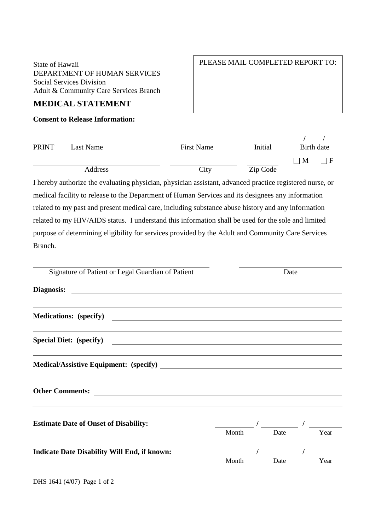State of Hawaii DEPARTMENT OF HUMAN SERVICES Social Services Division Adult & Community Care Services Branch

## **MEDICAL STATEMENT**

## **Consent to Release Information:**

## **Rirth date** PRINT Last Name First Name First Name Initial Birth date  $\Box$  M  $\Box$  F Address City City Zip Code

I hereby authorize the evaluating physician, physician assistant, advanced practice registered nurse, or medical facility to release to the Department of Human Services and its designees any information related to my past and present medical care, including substance abuse history and any information related to my HIV/AIDS status. I understand this information shall be used for the sole and limited purpose of determining eligibility for services provided by the Adult and Community Care Services Branch.

| Signature of Patient or Legal Guardian of Patient                                                                      |       | Date |  |      |  |
|------------------------------------------------------------------------------------------------------------------------|-------|------|--|------|--|
| Diagnosis:                                                                                                             |       |      |  |      |  |
| <u> 1989 - Johann Stoff, deutscher Stoffen und der Stoffen und der Stoffen und der Stoffen und der Stoffen und der</u> |       |      |  |      |  |
| Special Diet: (specify)                                                                                                |       |      |  |      |  |
|                                                                                                                        |       |      |  |      |  |
|                                                                                                                        |       |      |  |      |  |
| <b>Estimate Date of Onset of Disability:</b>                                                                           | Month | Date |  | Year |  |
| <b>Indicate Date Disability Will End, if known:</b>                                                                    |       |      |  |      |  |
|                                                                                                                        | Month | Date |  | Year |  |